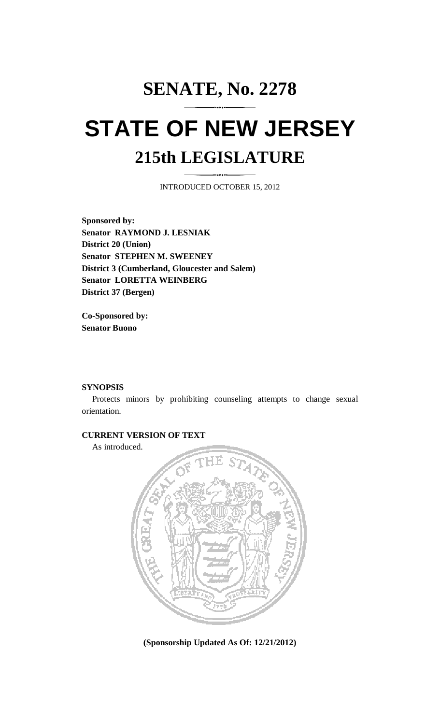# **SENATE, No. 2278 STATE OF NEW JERSEY 215th LEGISLATURE**

INTRODUCED OCTOBER 15, 2012

**Sponsored by: Senator RAYMOND J. LESNIAK District 20 (Union) Senator STEPHEN M. SWEENEY District 3 (Cumberland, Gloucester and Salem) Senator LORETTA WEINBERG District 37 (Bergen)** 

**Co-Sponsored by: Senator Buono** 

### **SYNOPSIS**

 Protects minors by prohibiting counseling attempts to change sexual orientation.

## **CURRENT VERSION OF TEXT**

As introduced.



**(Sponsorship Updated As Of: 12/21/2012)**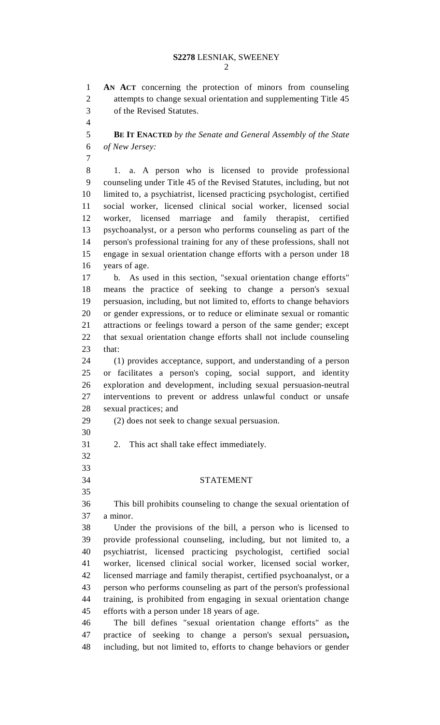1 **AN ACT** concerning the protection of minors from counseling 2 attempts to change sexual orientation and supplementing Title 45 3 of the Revised Statutes.

4

7

5 **BE IT ENACTED** *by the Senate and General Assembly of the State*  6 *of New Jersey:*

8 1. a. A person who is licensed to provide professional 9 counseling under Title 45 of the Revised Statutes, including, but not 10 limited to, a psychiatrist, licensed practicing psychologist, certified 11 social worker, licensed clinical social worker, licensed social 12 worker, licensed marriage and family therapist, certified 13 psychoanalyst, or a person who performs counseling as part of the 14 person's professional training for any of these professions, shall not 15 engage in sexual orientation change efforts with a person under 18 16 years of age.

17 b. As used in this section, "sexual orientation change efforts" 18 means the practice of seeking to change a person's sexual 19 persuasion, including, but not limited to, efforts to change behaviors 20 or gender expressions, or to reduce or eliminate sexual or romantic 21 attractions or feelings toward a person of the same gender; except 22 that sexual orientation change efforts shall not include counseling 23 that:

24 (1) provides acceptance, support, and understanding of a person 25 or facilitates a person's coping, social support, and identity 26 exploration and development, including sexual persuasion-neutral 27 interventions to prevent or address unlawful conduct or unsafe 28 sexual practices; and

# 29 (2) does not seek to change sexual persuasion.

- 30
- 31 2. This act shall take effect immediately. 32
- 33

35

## 34 STATEMENT

36 This bill prohibits counseling to change the sexual orientation of 37 a minor.

38 Under the provisions of the bill, a person who is licensed to 39 provide professional counseling, including, but not limited to, a 40 psychiatrist, licensed practicing psychologist, certified social 41 worker, licensed clinical social worker, licensed social worker, 42 licensed marriage and family therapist, certified psychoanalyst, or a 43 person who performs counseling as part of the person's professional 44 training, is prohibited from engaging in sexual orientation change 45 efforts with a person under 18 years of age.

46 The bill defines "sexual orientation change efforts" as the 47 practice of seeking to change a person's sexual persuasion**,**  48 including, but not limited to, efforts to change behaviors or gender